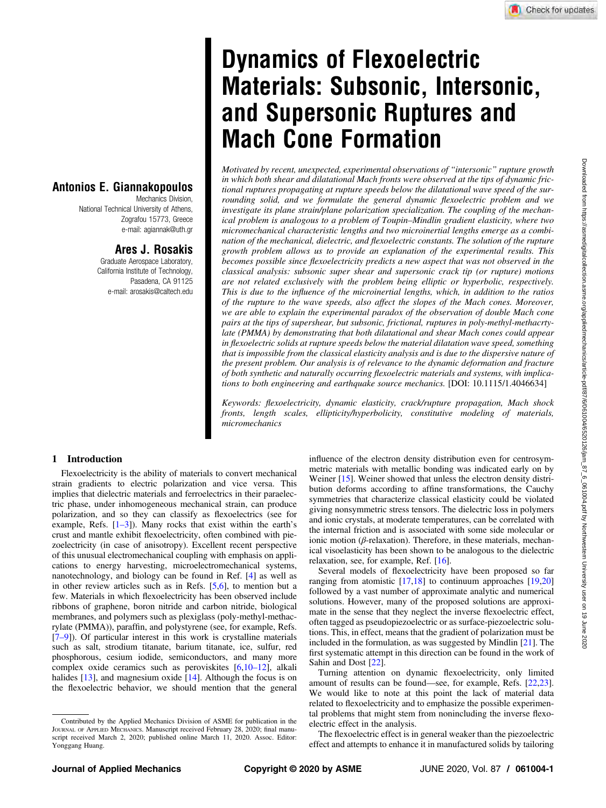# Dynamics of Flexoelectric Materials: Subsonic, Intersonic, and Supersonic Ruptures and Mach Cone Formation

Motivated by recent, unexpected, experimental observations of "intersonic" rupture growth in which both shear and dilatational Mach fronts were observed at the tips of dynamic frictional ruptures propagating at rupture speeds below the dilatational wave speed of the surrounding solid, and we formulate the general dynamic flexoelectric problem and we investigate its plane strain/plane polarization specialization. The coupling of the mechanical problem is analogous to a problem of Toupin–Mindlin gradient elasticity, where two micromechanical characteristic lengths and two microinertial lengths emerge as a combination of the mechanical, dielectric, and flexoelectric constants. The solution of the rupture growth problem allows us to provide an explanation of the experimental results. This becomes possible since flexoelectricity predicts a new aspect that was not observed in the classical analysis: subsonic super shear and supersonic crack tip (or rupture) motions are not related exclusively with the problem being elliptic or hyperbolic, respectively. This is due to the influence of the microinertial lengths, which, in addition to the ratios of the rupture to the wave speeds, also affect the slopes of the Mach cones. Moreover, we are able to explain the experimental paradox of the observation of double Mach cone pairs at the tips of supershear, but subsonic, frictional, ruptures in poly-methyl-methacrtylate (PMMA) by demonstrating that both dilatational and shear Mach cones could appear in flexoelectric solids at rupture speeds below the material dilatation wave speed, something that is impossible from the classical elasticity analysis and is due to the dispersive nature of the present problem. Our analysis is of relevance to the dynamic deformation and fracture of both synthetic and naturally occurring flexoelectric materials and systems, with implications to both engineering and earthquake source mechanics. [DOI: 10.1115/1.4046634]

Keywords: flexoelectricity, dynamic elasticity, crack/rupture propagation, Mach shock fronts, length scales, ellipticity/hyperbolicity, constitutive modeling of materials, micromechanics

### Antonios E. Giannakopoulos Mechanics Division,

National Technical University of Athens, Zografou 15773, Greece e-mail: [agiannak@uth.gr](mailto:agiannak@uth.gr)

## Ares J. Rosakis

Graduate Aerospace Laboratory, California Institute of Technology, Pasadena, CA 91125 e-mail: [arosakis@caltech.edu](mailto:arosakis@caltech.edu)

## 1 Introduction

Flexoelectricity is the ability of materials to convert mechanical strain gradients to electric polarization and vice versa. This implies that dielectric materials and ferroelectrics in their paraelectric phase, under inhomogeneous mechanical strain, can produce polarization, and so they can classify as flexoelectrics (see for example, Refs.  $[1-3]$ . Many rocks that exist within the earth's crust and mantle exhibit flexoelectricity, often combined with piezoelectricity (in case of anisotropy). Excellent recent perspective of this unusual electromechanical coupling with emphasis on applications to energy harvesting, microelectromechanical systems, nanotechnology, and biology can be found in Ref. [[4](#page-8-0)] as well as in other review articles such as in Refs. [\[5,6](#page-8-0)], to mention but a few. Materials in which flexoelectricity has been observed include ribbons of graphene, boron nitride and carbon nitride, biological membranes, and polymers such as plexiglass (poly-methyl-methacrylate (PMMA)), paraffin, and polystyrene (see, for example, Refs. [7–9]). Of particular interest in this work is crystalline materials such as salt, strodium titanate, barium titanate, ice, sulfur, red phosphorous, cesium iodide, semiconductors, and many more complex oxide ceramics such as peroviskites [\[6,](#page-8-0)10–12], alkali halides [[13\]](#page-8-0), and magnesium oxide [\[14](#page-8-0)]. Although the focus is on the flexoelectric behavior, we should mention that the general influence of the electron density distribution even for centrosymmetric materials with metallic bonding was indicated early on by Weiner [\[15](#page-8-0)]. Weiner showed that unless the electron density distribution deforms according to affine transformations, the Cauchy symmetries that characterize classical elasticity could be violated giving nonsymmetric stress tensors. The dielectric loss in polymers and ionic crystals, at moderate temperatures, can be correlated with the internal friction and is associated with some side molecular or ionic motion (β-relaxation). Therefore, in these materials, mechanical visoelasticity has been shown to be analogous to the dielectric relaxation, see, for example, Ref. [[16](#page-8-0)].

Several models of flexoelectricity have been proposed so far ranging from atomistic [[17,18](#page-8-0)] to continuum approaches [[19,20](#page-8-0)] followed by a vast number of approximate analytic and numerical solutions. However, many of the proposed solutions are approximate in the sense that they neglect the inverse flexoelectric effect, often tagged as pseudopiezoelectric or as surface-piezoelectric solutions. This, in effect, means that the gradient of polarization must be included in the formulation, as was suggested by Mindlin [[21\]](#page-8-0). The first systematic attempt in this direction can be found in the work of Sahin and Dost [\[22](#page-8-0)].

Turning attention on dynamic flexoelectricity, only limited amount of results can be found—see, for example, Refs. [[22,23\]](#page-8-0). We would like to note at this point the lack of material data related to flexoelectricity and to emphasize the possible experimental problems that might stem from nonincluding the inverse flexoelectric effect in the analysis.

The flexoelectric effect is in general weaker than the piezoelectric effect and attempts to enhance it in manufactured solids by tailoring

Contributed by the Applied Mechanics Division of ASME for publication in the JOURNAL OF APPLIED MECHANICS. Manuscript received February 28, 2020; final manuscript received March 2, 2020; published online March 11, 2020. Assoc. Editor: Yonggang Huang.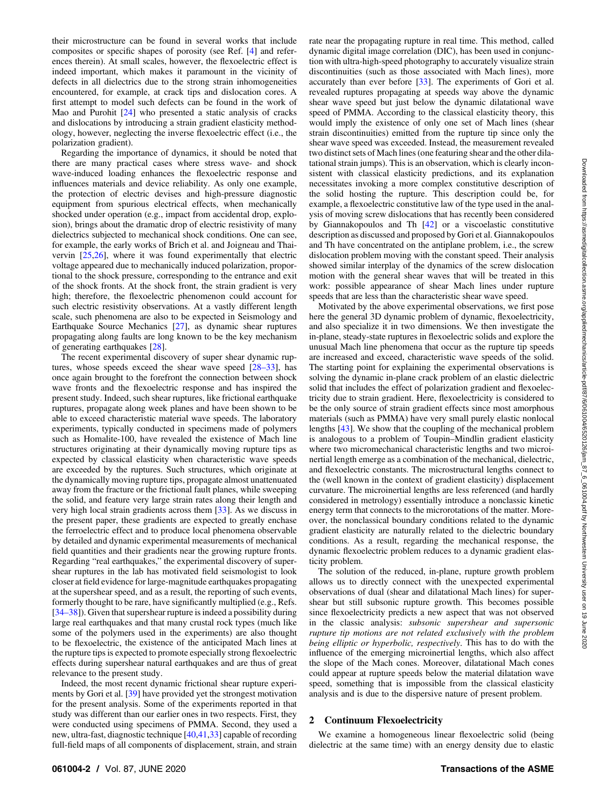<span id="page-1-0"></span>their microstructure can be found in several works that include composites or specific shapes of porosity (see Ref. [[4](#page-8-0)] and references therein). At small scales, however, the flexoelectric effect is indeed important, which makes it paramount in the vicinity of defects in all dielectrics due to the strong strain inhomogeneities encountered, for example, at crack tips and dislocation cores. A first attempt to model such defects can be found in the work of Mao and Purohit [\[24](#page-8-0)] who presented a static analysis of cracks and dislocations by introducing a strain gradient elasticity methodology, however, neglecting the inverse flexoelectric effect (i.e., the polarization gradient).

Regarding the importance of dynamics, it should be noted that there are many practical cases where stress wave- and shock wave-induced loading enhances the flexoelectric response and influences materials and device reliability. As only one example, the protection of electric devises and high-pressure diagnostic equipment from spurious electrical effects, when mechanically shocked under operation (e.g., impact from accidental drop, explosion), brings about the dramatic drop of electric resistivity of many dielectrics subjected to mechanical shock conditions. One can see, for example, the early works of Brich et al. and Joigneau and Thaivervin [\[25,26](#page-8-0)], where it was found experimentally that electric voltage appeared due to mechanically induced polarization, proportional to the shock pressure, corresponding to the entrance and exit of the shock fronts. At the shock front, the strain gradient is very high; therefore, the flexoelectric phenomenon could account for such electric resistivity observations. At a vastly different length scale, such phenomena are also to be expected in Seismology and Earthquake Source Mechanics [[27\]](#page-8-0), as dynamic shear ruptures propagating along faults are long known to be the key mechanism of generating earthquakes [\[28](#page-8-0)].

The recent experimental discovery of super shear dynamic ruptures, whose speeds exceed the shear wave speed  $[28-33]$ , has once again brought to the forefront the connection between shock wave fronts and the flexoelectric response and has inspired the present study. Indeed, such shear ruptures, like frictional earthquake ruptures, propagate along week planes and have been shown to be able to exceed characteristic material wave speeds. The laboratory experiments, typically conducted in specimens made of polymers such as Homalite-100, have revealed the existence of Mach line structures originating at their dynamically moving rupture tips as expected by classical elasticity when characteristic wave speeds are exceeded by the ruptures. Such structures, which originate at the dynamically moving rupture tips, propagate almost unattenuated away from the fracture or the frictional fault planes, while sweeping the solid, and feature very large strain rates along their length and very high local strain gradients across them [\[33](#page-8-0)]. As we discuss in the present paper, these gradients are expected to greatly enchase the ferroelectric effect and to produce local phenomena observable by detailed and dynamic experimental measurements of mechanical field quantities and their gradients near the growing rupture fronts. Regarding "real earthquakes," the experimental discovery of supershear ruptures in the lab has motivated field seismologist to look closer at field evidence for large-magnitude earthquakes propagating at the supershear speed, and as a result, the reporting of such events, formerly thought to be rare, have significantly multiplied (e.g., Refs. [34–38]). Given that supershear rupture is indeed a possibility during large real earthquakes and that many crustal rock types (much like some of the polymers used in the experiments) are also thought to be flexoelectric, the existence of the anticipated Mach lines at the rupture tips is expected to promote especially strong flexoelectric effects during supershear natural earthquakes and are thus of great relevance to the present study.

Indeed, the most recent dynamic frictional shear rupture experiments by Gori et al. [[39\]](#page-8-0) have provided yet the strongest motivation for the present analysis. Some of the experiments reported in that study was different than our earlier ones in two respects. First, they were conducted using specimens of PMMA. Second, they used a new, ultra-fast, diagnostic technique [\[40,41](#page-8-0),[33](#page-8-0)] capable of recording full-field maps of all components of displacement, strain, and strain

rate near the propagating rupture in real time. This method, called dynamic digital image correlation (DIC), has been used in conjunction with ultra-high-speed photography to accurately visualize strain discontinuities (such as those associated with Mach lines), more accurately than ever before [[33\]](#page-8-0). The experiments of Gori et al. revealed ruptures propagating at speeds way above the dynamic shear wave speed but just below the dynamic dilatational wave speed of PMMA. According to the classical elasticity theory, this would imply the existence of only one set of Mach lines (shear strain discontinuities) emitted from the rupture tip since only the shear wave speed was exceeded. Instead, the measurement revealed two distinct sets of Mach lines (one featuring shear and the other dilatational strain jumps). This is an observation, which is clearly inconsistent with classical elasticity predictions, and its explanation necessitates invoking a more complex constitutive description of the solid hosting the rupture. This description could be, for example, a flexoelectric constitutive law of the type used in the analysis of moving screw dislocations that has recently been considered by Giannakopoulos and Th [[42\]](#page-8-0) or a viscoelastic constitutive description as discussed and proposed by Gori et al. Giannakopoulos and Th have concentrated on the antiplane problem, i.e., the screw dislocation problem moving with the constant speed. Their analysis showed similar interplay of the dynamics of the screw dislocation motion with the general shear waves that will be treated in this work: possible appearance of shear Mach lines under rupture speeds that are less than the characteristic shear wave speed.

Motivated by the above experimental observations, we first pose here the general 3D dynamic problem of dynamic, flexoelectricity, and also specialize it in two dimensions. We then investigate the in-plane, steady-state ruptures in flexoelectric solids and explore the unusual Mach line phenomena that occur as the rupture tip speeds are increased and exceed, characteristic wave speeds of the solid. The starting point for explaining the experimental observations is solving the dynamic in-plane crack problem of an elastic dielectric solid that includes the effect of polarization gradient and flexoelectricity due to strain gradient. Here, flexoelectricity is considered to be the only source of strain gradient effects since most amorphous materials (such as PMMA) have very small purely elastic nonlocal lengths [[43\]](#page-8-0). We show that the coupling of the mechanical problem is analogous to a problem of Toupin–Mindlin gradient elasticity where two micromechanical characteristic lengths and two microinertial length emerge as a combination of the mechanical, dielectric, and flexoelectric constants. The microstructural lengths connect to the (well known in the context of gradient elasticity) displacement curvature. The microinertial lengths are less referenced (and hardly considered in metrology) essentially introduce a nonclassic kinetic energy term that connects to the microrotations of the matter. Moreover, the nonclassical boundary conditions related to the dynamic gradient elasticity are naturally related to the dielectric boundary conditions. As a result, regarding the mechanical response, the dynamic flexoelectric problem reduces to a dynamic gradient elasticity problem.

The solution of the reduced, in-plane, rupture growth problem allows us to directly connect with the unexpected experimental observations of dual (shear and dilatational Mach lines) for supershear but still subsonic rupture growth. This becomes possible since flexoelectricity predicts a new aspect that was not observed in the classic analysis: subsonic supershear and supersonic rupture tip motions are not related exclusively with the problem being elliptic or hyperbolic, respectively. This has to do with the influence of the emerging microinertial lengths, which also affect the slope of the Mach cones. Moreover, dilatational Mach cones could appear at rupture speeds below the material dilatation wave speed, something that is impossible from the classical elasticity analysis and is due to the dispersive nature of present problem.

#### 2 Continuum Flexoelectricity

We examine a homogeneous linear flexoelectric solid (being dielectric at the same time) with an energy density due to elastic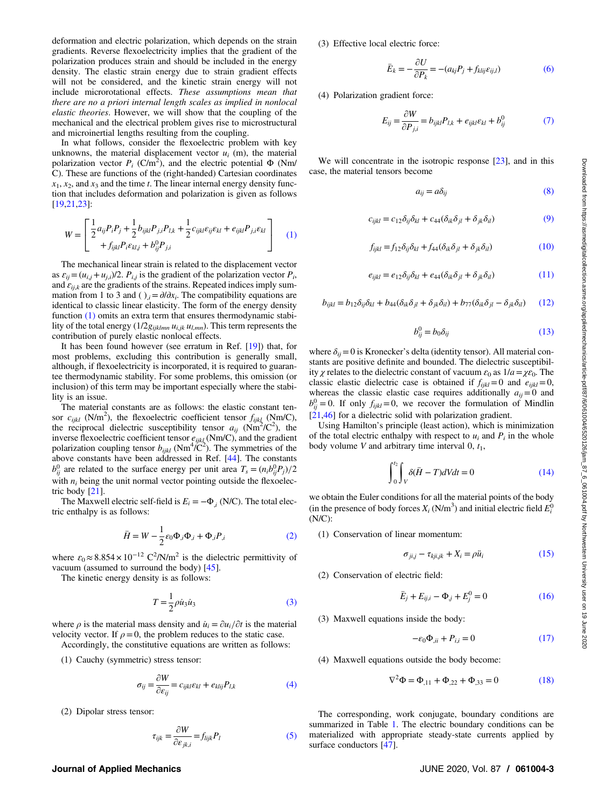<span id="page-2-0"></span>deformation and electric polarization, which depends on the strain gradients. Reverse flexoelectricity implies that the gradient of the polarization produces strain and should be included in the energy density. The elastic strain energy due to strain gradient effects will not be considered, and the kinetic strain energy will not include microrotational effects. These assumptions mean that there are no a priori internal length scales as implied in nonlocal elastic theories. However, we will show that the coupling of the mechanical and the electrical problem gives rise to microstructural and microinertial lengths resulting from the coupling.

In what follows, consider the flexoelectric problem with key unknowns, the material displacement vector  $u_i$  (m), the material polarization vector  $P_i$  (C/m<sup>2</sup>), and the electric potential  $\Phi$  (Nm/ C). These are functions of the (right-handed) Cartesian coordinates  $x_1, x_2$ , and  $x_3$  and the time t. The linear internal energy density function that includes deformation and polarization is given as follows [[19,21,23](#page-8-0)]:

$$
W = \begin{bmatrix} \frac{1}{2} a_{ij} P_i P_j + \frac{1}{2} b_{ijkl} P_{j,i} P_{l,k} + \frac{1}{2} c_{ijkl} \varepsilon_{ij} \varepsilon_{kl} + e_{ijkl} P_{j,i} \varepsilon_{kl} \\ + f_{ijkl} P_i \varepsilon_{kl,j} + b_{ij}^0 P_{j,i} \end{bmatrix}
$$
 (1)

The mechanical linear strain is related to the displacement vector as  $\varepsilon_{ij} = (u_{i,j} + u_{j,i})/2$ .  $P_{i,j}$  is the gradient of the polarization vector  $P_i$ , and  $\varepsilon_{ijk}$  are the gradients of the strains. Repeated indices imply summation from 1 to 3 and ( ) $i = \partial/\partial x_i$ . The compatibility equations are identical to classic linear elasticity. The form of the energy density function (1) omits an extra term that ensures thermodynamic stability of the total energy ( $1/2g_{ijklmn} u_{i,jk} u_{l,mn}$ ). This term represents the contribution of purely elastic nonlocal effects.

It has been found however (see erratum in Ref. [\[19](#page-8-0)]) that, for most problems, excluding this contribution is generally small, although, if flexoelectricity is incorporated, it is required to guarantee thermodynamic stability. For some problems, this omission (or inclusion) of this term may be important especially where the stability is an issue.

The material constants are as follows: the elastic constant tensor  $c_{ijkl}$  (N/m<sup>2</sup>), the flexoelectric coefficient tensor  $f_{ijkl}$  (Nm/C), the reciprocal dielectric susceptibility tensor  $a_{ij}$  (Nm<sup>2</sup>/C<sup>2</sup>), the inverse flexoelectric coefficient tensor  $e_{ijkl}$  (Nm/C), and the gradient polarization coupling tensor  $b_{ijkl}$  (Nm<sup>4</sup>/C<sup>2</sup>). The symmetries of the above constants have been addressed in Ref. [\[44](#page-8-0)]. The constants  $b_{ij}^0$  are related to the surface energy per unit area  $T_s = (n_i b_{ij}^0 P_j)/2$ with  $n_i$  being the unit normal vector pointing outside the flexoelectric body [\[21\]](#page-8-0).

The Maxwell electric self-field is  $E_i = -\Phi_i$  (N/C). The total electric enthalpy is as follows:

$$
\bar{H} = W - \frac{1}{2} \varepsilon_0 \Phi_{,i} \Phi_{,i} + \Phi_{,i} P_{,i} \tag{2}
$$

where  $\varepsilon_0 \approx 8.854 \times 10^{-12} \text{ C}^2/\text{N/m}^2$  is the dielectric permittivity of vacuum (assumed to surround the body) [\[45](#page-8-0)].

The kinetic energy density is as follows:

$$
T = \frac{1}{2}\rho \dot{u}_3 \dot{u}_3 \tag{3}
$$

where  $\rho$  is the material mass density and  $\dot{u}_i = \partial u_i / \partial t$  is the material velocity vector. If  $\rho = 0$ , the problem reduces to the static case.

Accordingly, the constitutive equations are written as follows:

(1) Cauchy (symmetric) stress tensor:

$$
\sigma_{ij} = \frac{\partial W}{\partial \varepsilon_{ij}} = c_{ijkl} \varepsilon_{kl} + e_{klij} P_{l,k}
$$
(4)

(2) Dipolar stress tensor:

$$
\tau_{ijk} = \frac{\partial W}{\partial \varepsilon_{jk,i}} = f_{lijk} P_l \tag{5}
$$

(3) Effective local electric force:

$$
\bar{E}_k = -\frac{\partial U}{\partial P_k} = -(a_{kj}P_j + f_{klij}\varepsilon_{ij,l})
$$
\n(6)

(4) Polarization gradient force:

$$
E_{ij} = \frac{\partial W}{\partial P_{j,i}} = b_{ijkl} P_{l,k} + e_{ijkl} \varepsilon_{kl} + b_{ij}^0 \tag{7}
$$

We will concentrate in the isotropic response [[23\]](#page-8-0), and in this case, the material tensors become

$$
a_{ij} = a\delta_{ij} \tag{8}
$$

$$
c_{ijkl} = c_{12}\delta_{ij}\delta_{kl} + c_{44}(\delta_{ik}\delta_{jl} + \delta_{jk}\delta_{il})
$$
\n(9)

$$
f_{ijkl} = f_{12}\delta_{ij}\delta_{kl} + f_{44}(\delta_{ik}\delta_{jl} + \delta_{jk}\delta_{il})
$$
 (10)

$$
e_{ijkl} = e_{12}\delta_{ij}\delta_{kl} + e_{44}(\delta_{ik}\delta_{jl} + \delta_{jk}\delta_{il})
$$
 (11)

 $b_{ijkl} = b_{12}\delta_{ij}\delta_{kl} + b_{44}(\delta_{ik}\delta_{jl} + \delta_{jk}\delta_{il}) + b_{77}(\delta_{ik}\delta_{jl} - \delta_{jk}\delta_{il})$  (12)

$$
b_{ij}^0 = b_0 \delta_{ij} \tag{13}
$$

where  $\delta_{ij}=0$  is Kronecker's delta (identity tensor). All material constants are positive definite and bounded. The dielectric susceptibility  $\chi$  relates to the dielectric constant of vacuum  $\varepsilon_0$  as  $1/a = \chi \varepsilon_0$ . The classic elastic dielectric case is obtained if  $f_{ijkl}=0$  and  $e_{ijkl}=0$ , whereas the classic elastic case requires additionally  $a_{ij}=0$  and  $b_{ij}^0 = 0$ . If only  $f_{ijkl} = 0$ , we recover the formulation of Mindlin [[21,46](#page-8-0)] for a dielectric solid with polarization gradient.

Using Hamilton's principle (least action), which is minimization of the total electric enthalpy with respect to  $u_i$  and  $P_i$  in the whole body volume V and arbitrary time interval  $0, t_1$ ,

$$
\int_{0}^{t_2} \int_{V} \delta(\bar{H} - T)dVdt = 0
$$
\n(14)

we obtain the Euler conditions for all the material points of the body (in the presence of body forces  $X_i$  (N/m<sup>3</sup>) and initial electric field  $E_i^0$ (N/C):

(1) Conservation of linear momentum:

$$
\sigma_{ji,j} - \tau_{kji,jk} + X_i = \rho \ddot{u}_i \tag{15}
$$

(2) Conservation of electric field:

$$
\bar{E}_j + E_{ij,i} - \Phi_j + E_j^0 = 0 \tag{16}
$$

(3) Maxwell equations inside the body:

$$
-\varepsilon_0 \Phi_{,ii} + P_{i,i} = 0 \tag{17}
$$

(4) Maxwell equations outside the body become:

$$
\nabla^2 \Phi = \Phi_{,11} + \Phi_{,22} + \Phi_{,33} = 0 \tag{18}
$$

The corresponding, work conjugate, boundary conditions are summarized in Table [1](#page-3-0). The electric boundary conditions can be materialized with appropriate steady-state currents applied by surface conductors [[47\]](#page-8-0).

#### Journal of Applied Mechanics JUNE 2020, Vol. 87 / 061004-3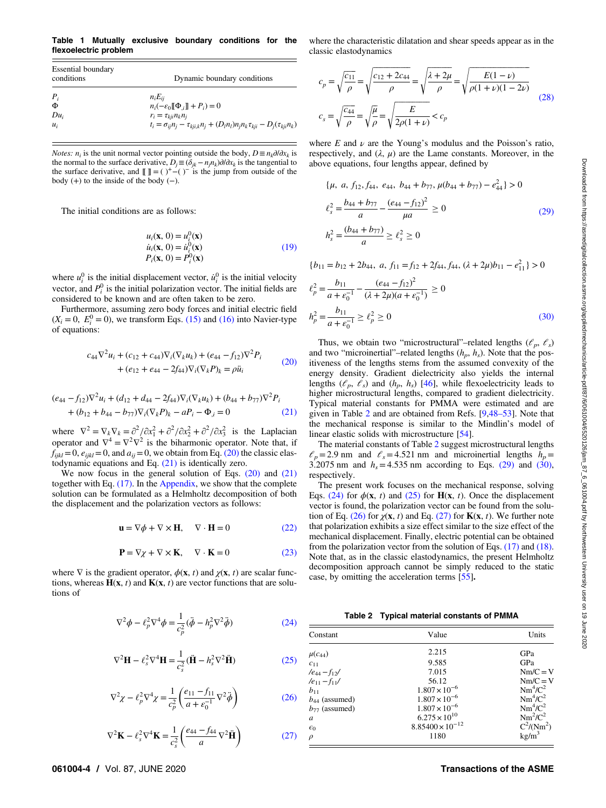<span id="page-3-0"></span>Table 1 Mutually exclusive boundary conditions for the flexoelectric problem

| <b>Essential boundary</b><br>conditions | Dynamic boundary conditions                                                                     |  |
|-----------------------------------------|-------------------------------------------------------------------------------------------------|--|
| $P_i$                                   | $n_i E_{ii}$                                                                                    |  |
| Φ                                       | $n_i(-\varepsilon_0 \mathbb{I} \Phi_i \mathbb{I} + P_i) = 0$                                    |  |
| $Du_i$                                  | $r_i = \tau_{kii} n_k n_i$                                                                      |  |
| $u_i$                                   | $t_i = \sigma_{ii} n_i - \tau_{kii,k} n_i + (D_l n_l) n_i n_k \tau_{kii} - D_i(\tau_{kii} n_k)$ |  |

*Notes: n<sub>i</sub>* is the unit normal vector pointing outside the body,  $D \equiv n_k \partial/\partial x_k$  is the normal to the surface derivative,  $D_j \equiv (\delta_{jk} - n_j n_k) \partial/\partial x_k$  is the tangential to the surface derivative, and  $[[ \, ]] = ( )^+ - ( )^-$  is the jump from outside of the body  $(+)$  to the inside of the body  $(-)$ .

The initial conditions are as follows:

$$
u_i(\mathbf{x}, 0) = u_i^0(\mathbf{x})
$$
  
\n
$$
\dot{u}_i(\mathbf{x}, 0) = \dot{u}_i^0(\mathbf{x})
$$
  
\n
$$
P_i(\mathbf{x}, 0) = P_i^0(\mathbf{x})
$$
\n(19)

where  $u_i^0$  is the initial displacement vector,  $\dot{u}_i^0$  is the initial velocity vector, and  $P_i^0$  is the initial polarization vector. The initial fields are considered to be known and are often taken to be zero.

Furthermore, assuming zero body forces and initial electric field  $(X_i = 0, E_i^0 = 0)$ , we transform Eqs. [\(15\)](#page-2-0) and [\(16\)](#page-2-0) into Navier-type of equations:

$$
c_{44}\nabla^2 u_i + (c_{12} + c_{44})\nabla_i(\nabla_k u_k) + (e_{44} - f_{12})\nabla^2 P_i
$$
  
+ 
$$
(e_{12} + e_{44} - 2f_{44})\nabla_i(\nabla_k P)_k = \rho \ddot{u}_i
$$
 (20)

$$
(e_{44} - f_{12})\nabla^2 u_i + (d_{12} + d_{44} - 2f_{44})\nabla_i(\nabla_k u_k) + (b_{44} + b_{77})\nabla^2 P_i
$$
  
+ 
$$
(b_{12} + b_{44} - b_{77})\nabla_i(\nabla_k P)_k - aP_i - \Phi_i = 0
$$
 (21)

where  $\nabla^2 = \nabla_k \nabla_k = \frac{\partial^2}{\partial x_1^2} + \frac{\partial^2}{\partial x_2^2} + \frac{\partial^2}{\partial x_3^2}$  is the Laplacian operator and  $\nabla^4 = \nabla^2 \nabla^2$  is the biharmonic operator. Note that, if  $f_{ijkl}=0$ ,  $e_{ijkl}=0$ , and  $a_{ij}=0$ , we obtain from Eq. (20) the classic elastodynamic equations and Eq. (21) is identically zero.

We now focus in the general solution of Eqs.  $(20)$  and  $(21)$ together with Eq. [\(17\)](#page-2-0). In the [Appendix,](#page-6-0) we show that the complete solution can be formulated as a Helmholtz decomposition of both the displacement and the polarization vectors as follows:

$$
\mathbf{u} = \nabla \phi + \nabla \times \mathbf{H}, \quad \nabla \cdot \mathbf{H} = 0 \tag{22}
$$

$$
\mathbf{P} = \nabla \chi + \nabla \times \mathbf{K}, \quad \nabla \cdot \mathbf{K} = 0 \tag{23}
$$

where  $\nabla$  is the gradient operator,  $\phi(\mathbf{x}, t)$  and  $\chi(\mathbf{x}, t)$  are scalar functions, whereas  $H(x, t)$  and  $K(x, t)$  are vector functions that are solutions of

$$
\nabla^2 \phi - \ell_p^2 \nabla^4 \phi = \frac{1}{c_p^2} (\ddot{\phi} - h_p^2 \nabla^2 \ddot{\phi})
$$
 (24)

$$
\nabla^2 \mathbf{H} - \ell_s^2 \nabla^4 \mathbf{H} = \frac{1}{c_s^2} (\dot{\mathbf{H}} - h_s^2 \nabla^2 \ddot{\mathbf{H}})
$$
 (25)

$$
\nabla^2 \chi - \ell_p^2 \nabla^4 \chi = \frac{1}{c_p^2} \left( \frac{e_{11} - f_{11}}{a + \varepsilon_0^{-1}} \nabla^2 \ddot{\phi} \right)
$$
 (26)

$$
\nabla^2 \mathbf{K} - \ell_s^2 \nabla^4 \mathbf{K} = \frac{1}{c_s^2} \left( \frac{e_{44} - f_{44}}{a} \nabla^2 \ddot{\mathbf{H}} \right)
$$
(27)

where the characteristic dilatation and shear speeds appear as in the classic elastodynamics

$$
c_p = \sqrt{\frac{c_{11}}{\rho}} = \sqrt{\frac{c_{12} + 2c_{44}}{\rho}} = \sqrt{\frac{\lambda + 2\mu}{\rho}} = \sqrt{\frac{E(1 - \nu)}{\rho(1 + \nu)(1 - 2\nu)}}
$$
  

$$
c_s = \sqrt{\frac{c_{44}}{\rho}} = \sqrt{\frac{\mu}{\rho}} = \sqrt{\frac{E}{2\rho(1 + \nu)}} < c_p
$$
 (28)

where  $E$  and  $\nu$  are the Young's modulus and the Poisson's ratio, respectively, and  $(\lambda, \mu)$  are the Lame constants. Moreover, in the above equations, four lengths appear, defined by

$$
\{\mu, a, f_{12}, f_{44}, e_{44}, b_{44} + b_{77}, \mu(b_{44} + b_{77}) - e_{44}^2\} > 0
$$
  

$$
\ell_s^2 = \frac{b_{44} + b_{77}}{a} - \frac{(e_{44} - f_{12})^2}{\mu a} \ge 0
$$
  

$$
h_s^2 = \frac{(b_{44} + b_{77})}{a} \ge \ell_s^2 \ge 0
$$
 (29)

$$
\{b_{11} = b_{12} + 2b_{44}, \ a, f_{11} = f_{12} + 2f_{44}, f_{44}, (\lambda + 2\mu)b_{11} - e_{11}^2\} > 0
$$

$$
\ell_p^2 = \frac{b_{11}}{a + \varepsilon_0^{-1}} - \frac{(e_{44} - f_{12})^2}{(\lambda + 2\mu)(a + \varepsilon_0^{-1})} \ge 0
$$
  

$$
h_p^2 = \frac{b_{11}}{a + \varepsilon_0^{-1}} \ge \ell_p^2 \ge 0
$$
 (30)

Thus, we obtain two "microstructural"–related lengths ( $\ell_p$ ,  $\ell_s$ ) and two "microinertial"–related lengths  $(h_p, h_s)$ . Note that the positiveness of the lengths stems from the assumed convexity of the energy density. Gradient dielectricity also yields the internal lengths  $(\ell_p, \ell_s)$  and  $(h_p, h_s)$  [\[46](#page-8-0)], while flexoelectricity leads to higher microstructural lengths, compared to gradient dielectricity. Typical material constants for PMMA were estimated and are given in Table 2 and are obtained from Refs. [\[9,](#page-8-0)48–53]. Note that the mechanical response is similar to the Mindlin's model of linear elastic solids with microstructure [\[54](#page-8-0)].

The material constants of Table 2 suggest microstructural lengths  $\ell_p$ =2.9 nm and  $\ell_s$ =4.521 nm and microinertial lengths  $h_p$ = 3.2075 nm and  $h_s = 4.535$  nm according to Eqs. (29) and (30), respectively.

The present work focuses on the mechanical response, solving Eqs. (24) for  $\phi(\mathbf{x}, t)$  and (25) for  $\mathbf{H}(\mathbf{x}, t)$ . Once the displacement vector is found, the polarization vector can be found from the solution of Eq. (26) for  $\chi$ (**x**, *t*) and Eq. (27) for **K**(**x**, *t*). We further note that polarization exhibits a size effect similar to the size effect of the mechanical displacement. Finally, electric potential can be obtained from the polarization vector from the solution of Eqs. [\(17\)](#page-2-0) and [\(18\).](#page-2-0) Note that, as in the classic elastodynamics, the present Helmholtz decomposition approach cannot be simply reduced to the static case, by omitting the acceleration terms [\[55](#page-8-0)].

Table 2 Typical material constants of PMMA

| Constant            | Value                     | Units             |
|---------------------|---------------------------|-------------------|
| $\mu(c_{44})$       | 2.215                     | GPa               |
| $c_{11}$            | 9.585                     | GPa               |
| $/e_{44} - f_{12}/$ | 7.015                     | $Nm/C = V$        |
| $/e_{11} - f_{11}/$ | 56.12                     | $Nm/C = V$        |
| $b_{11}$            | $1.807 \times 10^{-6}$    | $Nm^4/C^2$        |
| $b_{44}$ (assumed)  | $1.807 \times 10^{-6}$    | $Nm^4/C^2$        |
| $b_{77}$ (assumed)  | $1.807 \times 10^{-6}$    | $Nm^4/C^2$        |
| a                   | $6.275 \times 10^{10}$    | $Nm^2/C^2$        |
| $\epsilon_0$        | $8.85400 \times 10^{-12}$ | $C^2/(Nm^2)$      |
| $\rho$              | 1180                      | kg/m <sup>3</sup> |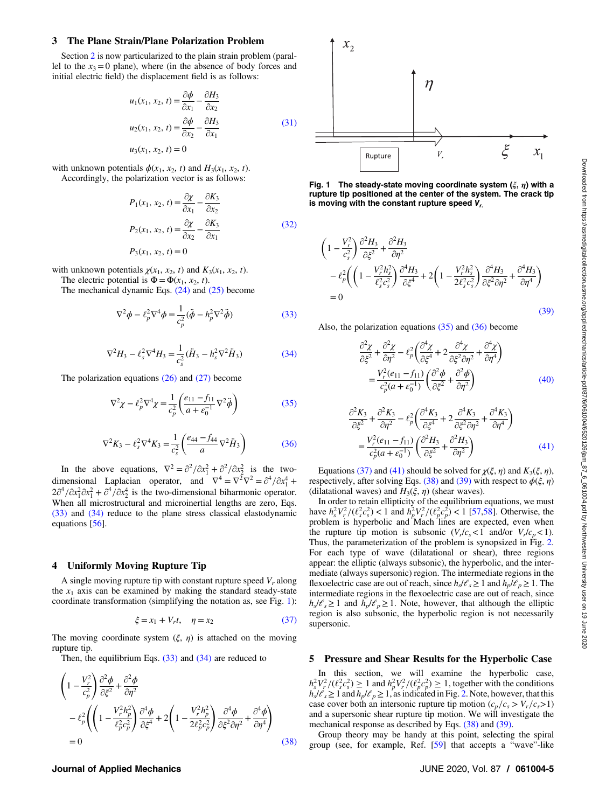#### <span id="page-4-0"></span>3 The Plane Strain/Plane Polarization Problem

Section [2](#page-1-0) is now particularized to the plain strain problem (parallel to the  $x_3=0$  plane), where (in the absence of body forces and initial electric field) the displacement field is as follows:

$$
u_1(x_1, x_2, t) = \frac{\partial \phi}{\partial x_1} - \frac{\partial H_3}{\partial x_2}
$$
  

$$
u_2(x_1, x_2, t) = \frac{\partial \phi}{\partial x_2} - \frac{\partial H_3}{\partial x_1}
$$
  

$$
u_3(x_1, x_2, t) = 0
$$
 (31)

with unknown potentials  $\phi(x_1, x_2, t)$  and  $H_3(x_1, x_2, t)$ . Accordingly, the polarization vector is as follows:

$$
P_1(x_1, x_2, t) = \frac{\partial \chi}{\partial x_1} - \frac{\partial K_3}{\partial x_2}
$$
  
\n
$$
P_2(x_1, x_2, t) = \frac{\partial \chi}{\partial x_2} - \frac{\partial K_3}{\partial x_1}
$$
  
\n
$$
P_3(x_1, x_2, t) = 0
$$
\n(32)

with unknown potentials  $\chi(x_1, x_2, t)$  and  $K_3(x_1, x_2, t)$ .

The electric potential is  $\Phi = \Phi(x_1, x_2, t)$ .

The mechanical dynamic Eqs. [\(24\)](#page-3-0) and [\(25\)](#page-3-0) become

$$
\nabla^2 \phi - \ell_p^2 \nabla^4 \phi = \frac{1}{c_p^2} (\ddot{\phi} - h_p^2 \nabla^2 \ddot{\phi})
$$
 (33)

$$
\nabla^2 H_3 - \ell_s^2 \nabla^4 H_3 = \frac{1}{c_s^2} (\ddot{H}_3 - h_s^2 \nabla^2 \ddot{H}_3)
$$
 (34)

The polarization equations  $(26)$  and  $(27)$  become

$$
\nabla^2 \chi - \ell_p^2 \nabla^4 \chi = \frac{1}{c_p^2} \left( \frac{e_{11} - f_{11}}{a + \epsilon_0^{-1}} \nabla^2 \ddot{\phi} \right)
$$
(35)

$$
\nabla^2 K_3 - \ell_s^2 \nabla^4 K_3 = \frac{1}{c_s^2} \left( \frac{e_{44} - f_{44}}{a} \nabla^2 \ddot{H}_3 \right) \tag{36}
$$

In the above equations,  $\nabla^2 = \frac{\partial^2}{\partial x_1^2} + \frac{\partial^2}{\partial x_2^2}$  is the twodimensional Laplacian operator, and  $\nabla^4 = \nabla^2 \nabla^2 = \partial^4 / \partial x_1^4 +$  $2\partial^4/\partial x_1^2 \partial x_1^2 + \partial^4/\partial x_2^4$  is the two-dimensional biharmonic operator. When all microstructural and microinertial lengths are zero, Eqs. (33) and (34) reduce to the plane stress classical elastodynamic equations [[56\]](#page-8-0).

#### 4 Uniformly Moving Rupture Tip

A single moving rupture tip with constant rupture speed  $V_r$  along the  $x_1$  axis can be examined by making the standard steady-state coordinate transformation (simplifying the notation as, see Fig. 1):

$$
\xi = x_1 + V_r t, \quad \eta = x_2 \tag{37}
$$

The moving coordinate system  $(\xi, \eta)$  is attached on the moving rupture tip.

Then, the equilibrium Eqs.  $(33)$  and  $(34)$  are reduced to

$$
\begin{split} & \left(1 - \frac{V_r^2}{c_p^2}\right) \frac{\partial^2 \phi}{\partial \xi^2} + \frac{\partial^2 \phi}{\partial \eta^2} \\ &- \ell_p^2 \left( \left(1 - \frac{V_r^2 h_p^2}{\ell_p^2 c_p^2}\right) \frac{\partial^4 \phi}{\partial \xi^4} + 2 \left(1 - \frac{V_r^2 h_p^2}{2\ell_p^2 c_p^2}\right) \frac{\partial^4 \phi}{\partial \xi^2 \partial \eta^2} + \frac{\partial^4 \phi}{\partial \eta^4} \right) \\ &= 0 \end{split} \tag{38}
$$

## $x_2$  $\eta$ ξ  $x_1$  $V_{r}$ Rupture

Fig. 1 The steady-state moving coordinate system  $(\xi, \eta)$  with a rupture tip positioned at the center of the system. The crack tip is moving with the constant rupture speed  $V_{r}$ .

$$
\begin{split} &\left(1-\frac{V_r^2}{c_s^2}\right)\frac{\partial^2 H_3}{\partial \xi^2} + \frac{\partial^2 H_3}{\partial \eta^2} \\ &- \ell_p^2 \bigg(\left(1-\frac{V_r^2 h_s^2}{\ell_s^2 c_s^2}\right)\frac{\partial^4 H_3}{\partial \xi^4} + 2\bigg(1-\frac{V_r^2 h_s^2}{2\ell_s^2 c_s^2}\bigg)\frac{\partial^4 H_3}{\partial \xi^2 \partial \eta^2} + \frac{\partial^4 H_3}{\partial \eta^4}\bigg) \\ & = 0 \end{split} \tag{39}
$$

Also, the polarization equations (35) and (36) become

$$
\frac{\partial^2 \chi}{\partial \xi^2} + \frac{\partial^2 \chi}{\partial \eta^2} - \ell_p^2 \left( \frac{\partial^4 \chi}{\partial \xi^4} + 2 \frac{\partial^4 \chi}{\partial \xi^2 \partial \eta^2} + \frac{\partial^4 \chi}{\partial \eta^4} \right)
$$

$$
= \frac{V_r^2 (e_{11} - f_{11})}{c_p^2 (a + \epsilon_0^{-1})} \left( \frac{\partial^2 \phi}{\partial \xi^2} + \frac{\partial^2 \phi}{\partial \eta^2} \right)
$$
(40)

$$
\frac{\partial^2 K_3}{\partial \xi^2} + \frac{\partial^2 K_3}{\partial \eta^2} - \ell_p^2 \left( \frac{\partial^4 K_3}{\partial \xi^4} + 2 \frac{\partial^4 K_3}{\partial \xi^2 \partial \eta^2} + \frac{\partial^4 K_3}{\partial \eta^4} \right)
$$

$$
= \frac{V_r^2 (e_{11} - f_{11})}{c_p^2 (a + \epsilon_0^{-1})} \left( \frac{\partial^2 H_3}{\partial \xi^2} + \frac{\partial^2 H_3}{\partial \eta^2} \right)
$$
(41)

Equations (37) and (41) should be solved for  $\chi(\xi, \eta)$  and  $K_3(\xi, \eta)$ , respectively, after solving Eqs. (38) and (39) with respect to  $\phi(\xi, \eta)$ (dilatational waves) and  $H_3(\xi, \eta)$  (shear waves).

In order to retain ellipticity of the equilibrium equations, we must have  $h_s^2 V_r^2 / (\ell_s^2 c_s^2) < 1$  and  $h_p^2 V_r^2 / (\ell_p^2 c_p^2) < 1$  [[57,58\]](#page-8-0). Otherwise, the problem is hyperbolic and Mach lines are expected, even when the rupture tip motion is subsonic  $(V_r/c_s < 1$  and/or  $V_r/c_p < 1$ ). Thus, the parameterization of the problem is synopsized in Fig. [2.](#page-5-0) For each type of wave (dilatational or shear), three regions appear: the elliptic (always subsonic), the hyperbolic, and the intermediate (always supersonic) region. The intermediate regions in the flexoelectric case are out of reach, since  $h_s / \ell_s \geq 1$  and  $h_p / \ell_p \geq 1$ . The intermediate regions in the flexoelectric case are out of reach, since  $h_s/\ell_s \geq 1$  and  $h_p/\ell_p \geq 1$ . Note, however, that although the elliptic region is also subsonic, the hyperbolic region is not necessarily supersonic.

#### 5 Pressure and Shear Results for the Hyperbolic Case

In this section, we will examine the hyperbolic case,  $h_s^2 V_r^2 / (\ell_s^2 c_s^2) \ge 1$  and  $h_p^2 V_r^2 / (\ell_p^2 c_p^2) \ge 1$ , together with the conditions  $h_s$ / $\ell_s \geq 1$  and  $h_p$ / $\ell_p \geq 1$ , as indicated in Fig. [2.](#page-5-0) Note, however, that this case cover both an intersonic rupture tip motion  $(c_p/c_s > V_r/c_s > 1)$ and a supersonic shear rupture tip motion. We will investigate the mechanical response as described by Eqs. (38) and (39).

Group theory may be handy at this point, selecting the spiral group (see, for example, Ref. [\[59](#page-8-0)] that accepts a "wave"-like

#### Journal of Applied Mechanics JUNE 2020, Vol. 87 / 061004-5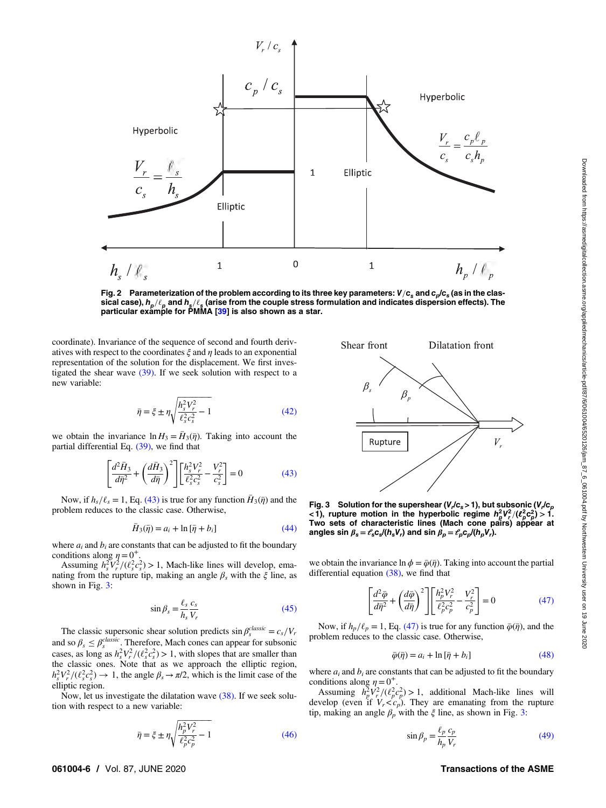<span id="page-5-0"></span>

Fig. 2 Parameterization of the problem according to its three key parameters:  $V/c_s$  and  $c_p/c_s$  (as in the classical case),  $h_p/\ell_p$  and  $h_s/\ell_s$  (arise from the couple stress formulation and indicates dispersion effects). The particular example for PMMA [\[39](#page-8-0)] is also shown as a star.

coordinate). Invariance of the sequence of second and fourth derivatives with respect to the coordinates  $\xi$  and  $\eta$  leads to an exponential representation of the solution for the displacement. We first investigated the shear wave  $(39)$ . If we seek solution with respect to a new variable:

$$
\bar{\eta} = \xi \pm \eta \sqrt{\frac{h_s^2 V_r^2}{\ell_s^2 c_s^2} - 1} \tag{42}
$$

we obtain the invariance  $\ln H_3 = \bar{H}_3(\bar{\eta})$ . Taking into account the partial differential Eq. [\(39\),](#page-4-0) we find that

$$
\left[\frac{d^2\bar{H}_3}{d\bar{\eta}^2} + \left(\frac{d\bar{H}_3}{d\bar{\eta}}\right)^2\right] \left[\frac{h_s^2V_r^2}{\ell_s^2c_s^2} - \frac{V_r^2}{c_s^2}\right] = 0\tag{43}
$$

Now, if  $h_s/\ell_s = 1$ , Eq. (43) is true for any function  $\bar{H}_3(\bar{\eta})$  and the problem reduces to the classic case. Otherwise,

$$
\bar{H}_3(\bar{\eta}) = a_i + \ln[\bar{\eta} + b_i]
$$
\n(44)

where  $a_i$  and  $b_i$  are constants that can be adjusted to fit the boundary conditions along  $\eta = 0^+$ .

Assuming  $h_s^2 \tilde{V}_r^2/(\ell_s^2 c_s^2) > 1$ , Mach-like lines will develop, emanating from the rupture tip, making an angle  $\beta_s$  with the  $\xi$  line, as shown in Fig. 3:

$$
\sin \beta_s = \frac{\ell_s}{h_s} \frac{c_s}{V_r} \tag{45}
$$

The classic supersonic shear solution predicts  $\sin \beta_s^{classic} = c_s/V_r$ and so  $\beta_s \leq \beta_s^{classic}$ . Therefore, Mach cones can appear for subsonic cases, as long as  $h_s^2 V_r^2 / (\ell_s^2 c_s^2) > 1$ , with slopes that are smaller than the classic ones. Note that as we approach the elliptic region,  $h_s^2 V_r^2 / (\ell_s^2 c_s^2) \rightarrow 1$ , the angle  $\beta_s \rightarrow \pi/2$ , which is the limit case of the elliptic region.

Now, let us investigate the dilatation wave [\(38\)](#page-4-0). If we seek solution with respect to a new variable:

$$
\bar{\eta} = \xi \pm \eta \sqrt{\frac{h_p^2 V_r^2}{\ell_p^2 c_p^2} - 1}
$$
 (46)



Fig. 3 Solution for the supershear ( $V_r/c_s$  > 1), but subsonic ( $V_r/c_p$ <1), rupture motion in the hyperbolic regime  $h_p^2 V_r^2 / (\ell_p^2 c_p^2) > 1$ . Two sets of characteristic lines (Mach cone pairs) appear at angles sin  $\beta_s = \ell_s c_s/(h_s V_r)$  and sin  $\beta_p = \ell_p c_p/(h_p V_r)$ .

we obtain the invariance  $\ln \phi = \overline{\phi}(\overline{\eta})$ . Taking into account the partial differential equation [\(38\)](#page-4-0), we find that

$$
\left[\frac{d^2\bar{\varphi}}{d\bar{\eta}^2} + \left(\frac{d\bar{\varphi}}{d\bar{\eta}}\right)^2\right] \left[\frac{h_p^2 V_r^2}{\ell_p^2 c_p^2} - \frac{V_r^2}{c_p^2}\right] = 0\tag{47}
$$

Now, if  $h_p/\ell_p = 1$ , Eq. (47) is true for any function  $\bar{\varphi}(\bar{\eta})$ , and the problem reduces to the classic case. Otherwise,

$$
\bar{\varphi}(\bar{\eta}) = a_i + \ln[\bar{\eta} + b_i] \tag{48}
$$

where  $a_i$  and  $b_i$  are constants that can be adjusted to fit the boundary conditions along  $\eta = 0^+$ .

Assuming  $h_p^2 V_r^2 / (\ell_p^2 c_p^2) > 1$ , additional Mach-like lines will develop (even if  $V_r < c_p$ ). They are emanating from the rupture tip, making an angle  $\beta_p$  with the  $\xi$  line, as shown in Fig. 3:

$$
\sin \beta_p = \frac{\ell_p}{h_p} \frac{c_p}{V_r} \tag{49}
$$

#### 061004-6 / Vol. 87, JUNE 2020 Transactions of the ASME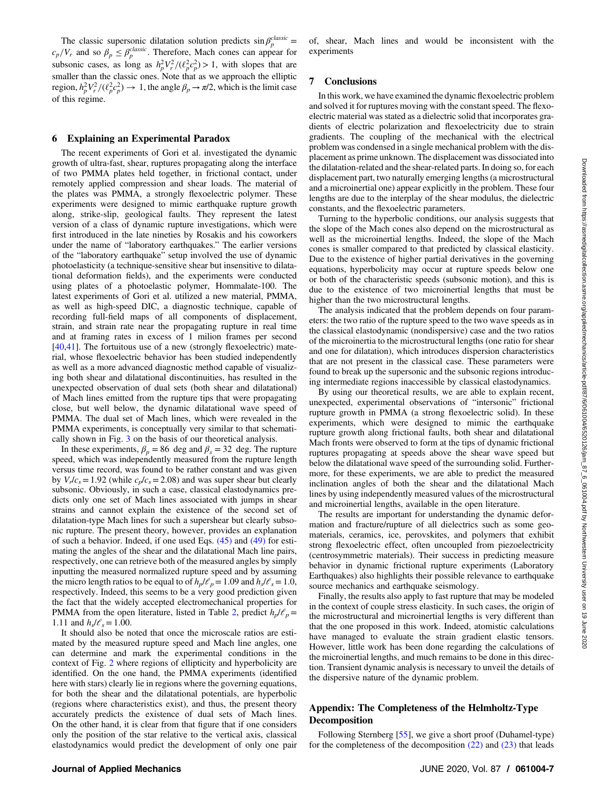<span id="page-6-0"></span>The classic supersonic dilatation solution predicts  $\sin \beta_p^{classic} =$  $c_p/V_r$  and so  $\beta_p \leq \beta_p^{classic}$ . Therefore, Mach cones can appear for subsonic cases, as long as  $h_p^2 V_r^2 / (\ell_p^2 c_p^2) > 1$ , with slopes that are smaller than the classic ones. Note that as we approach the elliptic region,  $h_p^2 V_r^2 / (\ell_p^2 c_p^2) \to 1$ , the angle  $\beta_p \to \pi/2$ , which is the limit case of this regime.

#### 6 Explaining an Experimental Paradox

The recent experiments of Gori et al. investigated the dynamic growth of ultra-fast, shear, ruptures propagating along the interface of two PMMA plates held together, in frictional contact, under remotely applied compression and shear loads. The material of the plates was PMMA, a strongly flexoelectric polymer. These experiments were designed to mimic earthquake rupture growth along, strike-slip, geological faults. They represent the latest version of a class of dynamic rupture investigations, which were first introduced in the late nineties by Rosakis and his coworkers under the name of "laboratory earthquakes." The earlier versions of the "laboratory earthquake" setup involved the use of dynamic photoelasticity (a technique-sensitive shear but insensitive to dilatational deformation fields), and the experiments were conducted using plates of a photoelastic polymer, Hommalate-100. The latest experiments of Gori et al. utilized a new material, PMMA, as well as high-speed DIC, a diagnostic technique, capable of recording full-field maps of all components of displacement, strain, and strain rate near the propagating rupture in real time and at framing rates in excess of 1 milion frames per second [[40,41](#page-8-0)]. The fortuitous use of a new (strongly flexoelectric) material, whose flexoelectric behavior has been studied independently as well as a more advanced diagnostic method capable of visualizing both shear and dilatational discontinuities, has resulted in the unexpected observation of dual sets (both shear and dilatational) of Mach lines emitted from the rupture tips that were propagating close, but well below, the dynamic dilatational wave speed of PMMA. The dual set of Mach lines, which were revealed in the PMMA experiments, is conceptually very similar to that schematically shown in Fig. [3](#page-5-0) on the basis of our theoretical analysis.

In these experiments,  $\beta_p = 86$  deg and  $\beta_s = 32$  deg. The rupture speed, which was independently measured from the rupture length versus time record, was found to be rather constant and was given by  $V_r/c_s = 1.92$  (while  $c_p/c_s = 2.08$ ) and was super shear but clearly subsonic. Obviously, in such a case, classical elastodynamics predicts only one set of Mach lines associated with jumps in shear strains and cannot explain the existence of the second set of dilatation-type Mach lines for such a supershear but clearly subsonic rupture. The present theory, however, provides an explanation of such a behavior. Indeed, if one used Eqs.  $(45)$  and  $(49)$  for estimating the angles of the shear and the dilatational Mach line pairs, respectively, one can retrieve both of the measured angles by simply inputting the measured normalized rupture speed and by assuming the micro length ratios to be equal to of  $h_p/\ell_p = 1.09$  and  $h_s/\ell_s = 1.0$ , respectively. Indeed, this seems to be a very good prediction given the fact that the widely accepted electromechanical properties for PMMA from the open literature, listed in Table [2,](#page-3-0) predict  $h_p/\mathcal{C}_p=$ 1.11 and  $h_s / \ell_s = 1.00$ .

It should also be noted that once the microscale ratios are estimated by the measured rupture speed and Mach line angles, one can determine and mark the experimental conditions in the context of Fig. [2](#page-5-0) where regions of ellipticity and hyperbolicity are identified. On the one hand, the PMMA experiments (identified here with stars) clearly lie in regions where the governing equations, for both the shear and the dilatational potentials, are hyperbolic (regions where characteristics exist), and thus, the present theory accurately predicts the existence of dual sets of Mach lines. On the other hand, it is clear from that figure that if one considers only the position of the star relative to the vertical axis, classical elastodynamics would predict the development of only one pair

of, shear, Mach lines and would be inconsistent with the experiments

#### 7 Conclusions

In this work, we have examined the dynamic flexoelectric problem and solved it for ruptures moving with the constant speed. The flexoelectric material was stated as a dielectric solid that incorporates gradients of electric polarization and flexoelectricity due to strain gradients. The coupling of the mechanical with the electrical problem was condensed in a single mechanical problem with the displacement as prime unknown. The displacement was dissociated into the dilatation-related and the shear-related parts. In doing so, for each displacement part, two naturally emerging lengths (a microstructural and a microinertial one) appear explicitly in the problem. These four lengths are due to the interplay of the shear modulus, the dielectric constants, and the flexoelectric parameters.

Turning to the hyperbolic conditions, our analysis suggests that the slope of the Mach cones also depend on the microstructural as well as the microinertial lengths. Indeed, the slope of the Mach cones is smaller compared to that predicted by classical elasticity. Due to the existence of higher partial derivatives in the governing equations, hyperbolicity may occur at rupture speeds below one or both of the characteristic speeds (subsonic motion), and this is due to the existence of two microinertial lengths that must be higher than the two microstructural lengths.

The analysis indicated that the problem depends on four parameters: the two ratio of the rupture speed to the two wave speeds as in the classical elastodynamic (nondispersive) case and the two ratios of the microinertia to the microstructural lengths (one ratio for shear and one for dilatation), which introduces dispersion characteristics that are not present in the classical case. These parameters were found to break up the supersonic and the subsonic regions introducing intermediate regions inaccessible by classical elastodynamics.

By using our theoretical results, we are able to explain recent, unexpected, experimental observations of "intersonic" frictional rupture growth in PMMA (a strong flexoelectric solid). In these experiments, which were designed to mimic the earthquake rupture growth along frictional faults, both shear and dilatational Mach fronts were observed to form at the tips of dynamic frictional ruptures propagating at speeds above the shear wave speed but below the dilatational wave speed of the surrounding solid. Furthermore, for these experiments, we are able to predict the measured inclination angles of both the shear and the dilatational Mach lines by using independently measured values of the microstructural and microinertial lengths, available in the open literature.

The results are important for understanding the dynamic deformation and fracture/rupture of all dielectrics such as some geomaterials, ceramics, ice, perovskites, and polymers that exhibit strong flexoelectric effect, often uncoupled from piezoelectricity (centrosymmetric materials). Their success in predicting measure behavior in dynamic frictional rupture experiments (Laboratory Earthquakes) also highlights their possible relevance to earthquake source mechanics and earthquake seismology.

Finally, the results also apply to fast rupture that may be modeled in the context of couple stress elasticity. In such cases, the origin of the microstructural and microinertial lengths is very different than that the one proposed in this work. Indeed, atomistic calculations have managed to evaluate the strain gradient elastic tensors. However, little work has been done regarding the calculations of the microinertial lengths, and much remains to be done in this direction. Transient dynamic analysis is necessary to unveil the details of the dispersive nature of the dynamic problem.

#### Appendix: The Completeness of the Helmholtz-Type **Decomposition**

Following Sternberg [[55\]](#page-8-0), we give a short proof (Duhamel-type) for the completeness of the decomposition  $(22)$  and  $(23)$  that leads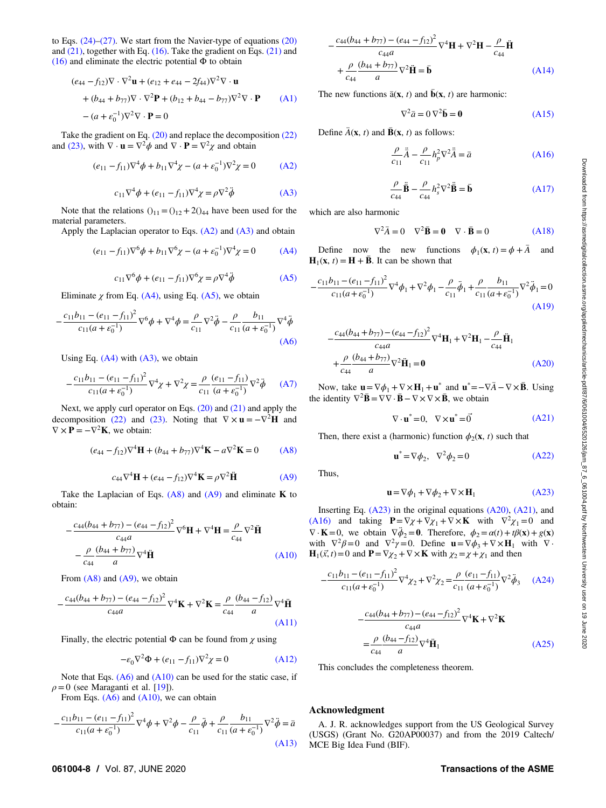to Eqs.  $(24)$ – $(27)$ . We start from the Navier-type of equations  $(20)$ and  $(21)$ , together with Eq.  $(16)$ . Take the gradient on Eqs.  $(21)$  and [\(16\)](#page-2-0) and eliminate the electric potential  $\Phi$  to obtain

$$
(e_{44} - f_{12})\nabla \cdot \nabla^2 \mathbf{u} + (e_{12} + e_{44} - 2f_{44})\nabla^2 \nabla \cdot \mathbf{u}
$$
  
+ 
$$
(b_{44} + b_{77})\nabla \cdot \nabla^2 \mathbf{P} + (b_{12} + b_{44} - b_{77})\nabla^2 \nabla \cdot \mathbf{P}
$$
 (A1)  
- 
$$
(a + \varepsilon_0^{-1})\nabla^2 \nabla \cdot \mathbf{P} = 0
$$

Take the gradient on Eq. [\(20\)](#page-3-0) and replace the decomposition [\(22\)](#page-3-0) and [\(23\)](#page-3-0), with  $\nabla \cdot \mathbf{u} = \nabla^2 \phi$  and  $\nabla \cdot \mathbf{P} = \nabla^2 \chi$  and obtain

$$
(e_{11} - f_{11})\nabla^4 \phi + b_{11}\nabla^4 \chi - (a + \varepsilon_0^{-1})\nabla^2 \chi = 0 \tag{A2}
$$

$$
c_{11}\nabla^4 \phi + (e_{11} - f_{11})\nabla^4 \chi = \rho \nabla^2 \ddot{\phi}
$$
 (A3)

Note that the relations  $()_{11} = ()_{12} + 2()_{44}$  have been used for the material parameters.

Apply the Laplacian operator to Eqs.  $(A2)$  and  $(A3)$  and obtain

$$
(e_{11} - f_{11})\nabla^6 \phi + b_{11}\nabla^6 \chi - (a + \varepsilon_0^{-1})\nabla^4 \chi = 0 \tag{A4}
$$

$$
c_{11}\nabla^{6}\phi + (e_{11} - f_{11})\nabla^{6}\chi = \rho\nabla^{4}\ddot{\phi}
$$
 (A5)

Eliminate  $\chi$  from Eq. (A4), using Eq. (A5), we obtain

$$
-\frac{c_{11}b_{11} - (e_{11} - f_{11})^2}{c_{11}(a + \varepsilon_0^{-1})} \nabla^6 \phi + \nabla^4 \phi = \frac{\rho}{c_{11}} \nabla^2 \ddot{\phi} - \frac{\rho}{c_{11}} \frac{b_{11}}{(a + \varepsilon_0^{-1})} \nabla^4 \ddot{\phi}
$$
\n(A6)

Using Eq.  $(A4)$  with  $(A3)$ , we obtain

$$
-\frac{c_{11}b_{11} - (e_{11} - f_{11})^2}{c_{11}(a + \varepsilon_0^{-1})} \nabla^4 \chi + \nabla^2 \chi = \frac{\rho}{c_{11}} \frac{(e_{11} - f_{11})}{(a + \varepsilon_0^{-1})} \nabla^2 \ddot{\phi} \qquad (A7)
$$

Next, we apply curl operator on Eqs. [\(20\)](#page-3-0) and [\(21\)](#page-3-0) and apply the decomposition [\(22\)](#page-3-0) and [\(23\).](#page-3-0) Noting that  $\nabla \times \mathbf{u} = -\nabla^2 \mathbf{H}$  and  $\nabla \times \mathbf{P} = -\nabla^2 \mathbf{K}$ , we obtain:

$$
(e_{44} - f_{12})\nabla^4 \mathbf{H} + (b_{44} + b_{77})\nabla^4 \mathbf{K} - a\nabla^2 \mathbf{K} = 0 \tag{A8}
$$

$$
c_{44}\nabla^4\mathbf{H} + (e_{44} - f_{12})\nabla^4\mathbf{K} = \rho\nabla^2\ddot{\mathbf{H}} \tag{A9}
$$

Take the Laplacian of Eqs.  $(A8)$  and  $(A9)$  and eliminate K to obtain:

$$
-\frac{c_{44}(b_{44} + b_{77}) - (e_{44} - f_{12})^2}{c_{44}a} \nabla^6 \mathbf{H} + \nabla^4 \mathbf{H} = \frac{\rho}{c_{44}} \nabla^2 \ddot{\mathbf{H}}
$$
\n
$$
-\frac{\rho}{c_{44}} \frac{(b_{44} + b_{77})}{a} \nabla^4 \ddot{\mathbf{H}}
$$
\n(A10)

From  $(A8)$  and  $(A9)$ , we obtain

$$
-\frac{c_{44}(b_{44} + b_{77}) - (e_{44} - f_{12})^2}{c_{44}a} \nabla^4 \mathbf{K} + \nabla^2 \mathbf{K} = \frac{\rho}{c_{44}} \frac{(b_{44} - f_{12})}{a} \nabla^4 \ddot{\mathbf{H}}
$$
\n(A11)

Finally, the electric potential  $\Phi$  can be found from  $\chi$  using

$$
-\varepsilon_0 \nabla^2 \Phi + (e_{11} - f_{11}) \nabla^2 \chi = 0 \tag{A12}
$$

Note that Eqs.  $(A6)$  and  $(A10)$  can be used for the static case, if  $\rho = 0$  (see Maraganti et al. [\[19](#page-8-0)]).

From Eqs.  $(A6)$  and  $(A10)$ , we can obtain

$$
-\frac{c_{11}b_{11} - (e_{11} - f_{11})^2}{c_{11}(a + \varepsilon_0^{-1})} \nabla^4 \phi + \nabla^2 \phi - \frac{\rho}{c_{11}} \ddot{\phi} + \frac{\rho}{c_{11}} \frac{b_{11}}{(a + \varepsilon_0^{-1})} \nabla^2 \ddot{\phi} = \bar{a}
$$
\n(A13)

$$
-\frac{c_{44}(b_{44} + b_{77}) - (e_{44} - f_{12})^2}{c_{44}a} \nabla^4 \mathbf{H} + \nabla^2 \mathbf{H} - \frac{\rho}{c_{44}} \ddot{\mathbf{H}}
$$
\n
$$
+\frac{\rho}{c_{44}} \frac{(b_{44} + b_{77})}{a} \nabla^2 \ddot{\mathbf{H}} = \mathbf{\bar{b}}
$$
\n(A14)

The new functions  $\bar{a}(\mathbf{x}, t)$  and  $\bar{b}(\mathbf{x}, t)$  are harmonic:

$$
\nabla^2 \bar{a} = 0 \nabla^2 \bar{b} = 0 \tag{A15}
$$

Define  $\bar{A}(\mathbf{x}, t)$  and  $\bar{B}(\mathbf{x}, t)$  as follows:

$$
\frac{\rho}{c_{11}}\ddot{\vec{A}} - \frac{\rho}{c_{11}}h_p^2 \nabla^2 \ddot{\vec{A}} = \bar{a}
$$
 (A16)

$$
\frac{\rho}{c_{44}}\ddot{\mathbf{\bar{B}}}-\frac{\rho}{c_{44}}h_s^2\nabla^2\ddot{\mathbf{\bar{B}}}=\mathbf{\bar{b}}
$$
 (A17)

which are also harmonic

$$
\nabla^2 \bar{A} = 0 \quad \nabla^2 \bar{B} = 0 \quad \nabla \cdot \bar{B} = 0 \tag{A18}
$$

Define now the new functions  $\phi_1(\mathbf{x}, t) = \phi + \overline{A}$  and  $H_1(x, t) = H + \bar{B}$ . It can be shown that

$$
-\frac{c_{11}b_{11} - (e_{11}-f_{11})^2}{c_{11}(a+\varepsilon_0^{-1})}\nabla^4\phi_1 + \nabla^2\phi_1 - \frac{\rho}{c_{11}}\ddot{\phi}_1 + \frac{\rho}{c_{11}}\frac{b_{11}}{(a+\varepsilon_0^{-1})}\nabla^2\ddot{\phi}_1 = 0
$$
\n(A19)

$$
-\frac{c_{44}(b_{44} + b_{77}) - (e_{44} - f_{12})^2}{c_{44}a} \nabla^4 \mathbf{H}_1 + \nabla^2 \mathbf{H}_1 - \frac{\rho}{c_{44}} \ddot{\mathbf{H}}_1
$$
\n
$$
+\frac{\rho}{c_{44}} \frac{(b_{44} + b_{77})}{a} \nabla^2 \ddot{\mathbf{H}}_1 = \mathbf{0}
$$
\n(A20)

Now, take  $\mathbf{u} = \nabla \phi_1 + \nabla \times \mathbf{H}_1 + \mathbf{u}^*$  and  $\mathbf{u}^* = -\nabla \overline{A} - \nabla \times \overline{B}$ . Using the identity  $\nabla^2 \mathbf{\bar{B}} = \nabla \nabla \cdot \mathbf{\bar{B}} - \nabla \times \nabla \times \mathbf{\bar{B}}$ , we obtain

$$
\nabla \cdot \mathbf{u}^* = 0, \quad \nabla \times \mathbf{u}^* = \vec{0} \tag{A21}
$$

Then, there exist a (harmonic) function  $\phi_2(\mathbf{x}, t)$  such that

$$
\mathbf{u}^* = \nabla \phi_2, \quad \nabla^2 \phi_2 = 0 \tag{A22}
$$

Thus,

$$
\mathbf{u} = \nabla \phi_1 + \nabla \phi_2 + \nabla \times \mathbf{H}_1 \tag{A23}
$$

Inserting Eq. (A23) in the original equations (A20), (A21), and (A16) and taking  $\mathbf{P} = \nabla \chi + \nabla \chi_1 + \nabla \times \mathbf{K}$  with  $\nabla^2 \chi_1 = 0$  and  $\nabla \cdot \mathbf{K} = 0$ , we obtain  $\nabla \phi_2 = \mathbf{0}$ . Therefore,  $\phi_2 = \alpha(t) + t\beta(\mathbf{x}) + g(\mathbf{x})$ with  $\nabla^2 \beta = 0$  and  $\nabla^2 \gamma = 0$ . Define  $\mathbf{u} = \nabla \phi_3 + \nabla \times \mathbf{H}_1$  with  $\nabla \cdot$  $\mathbf{H}_1(\vec{x}, t) = 0$  and  $\mathbf{P} = \nabla \chi_2 + \nabla \times \mathbf{K}$  with  $\chi_2 = \chi + \chi_1$  and then

$$
-\frac{c_{11}b_{11} - (e_{11} - f_{11})^2}{c_{11}(a + \varepsilon_0^{-1})} \nabla^4 \chi_2 + \nabla^2 \chi_2 = \frac{\rho}{c_{11}} \frac{(e_{11} - f_{11})}{(a + \varepsilon_0^{-1})} \nabla^2 \ddot{\phi}_3 \qquad (A24)
$$

$$
-\frac{c_{44}(b_{44} + b_{77}) - (e_{44} - f_{12})^2}{c_{44}a} \nabla^4 \mathbf{K} + \nabla^2 \mathbf{K}
$$

$$
=\frac{\rho}{c_{44}} \frac{(b_{44} - f_{12})}{a} \nabla^4 \ddot{\mathbf{H}}_1 \qquad (A25)
$$

This concludes the completeness theorem.

#### Acknowledgment

A. J. R. acknowledges support from the US Geological Survey (USGS) (Grant No. G20AP00037) and from the 2019 Caltech/ MCE Big Idea Fund (BIF).